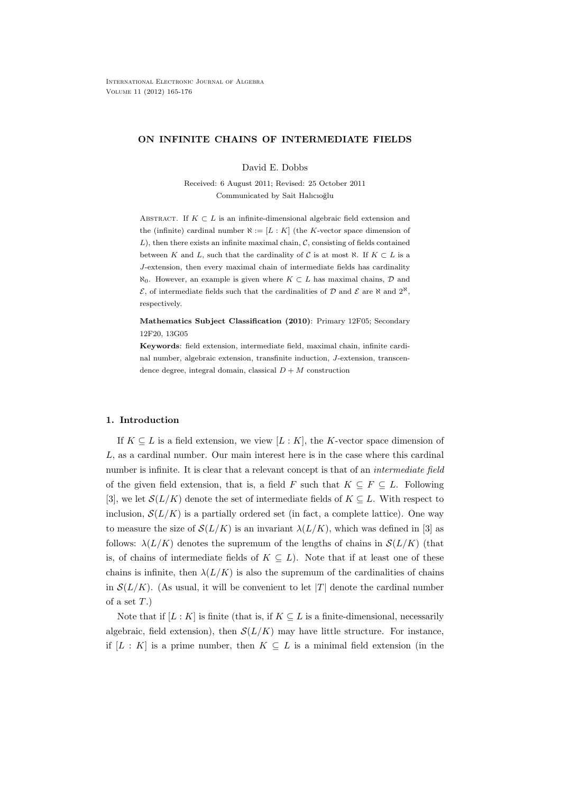# **ON INFINITE CHAINS OF INTERMEDIATE FIELDS**

David E. Dobbs

Received: 6 August 2011; Revised: 25 October 2011 Communicated by Sait Halıcıoğlu

ABSTRACT. If  $K \subset L$  is an infinite-dimensional algebraic field extension and the (infinite) cardinal number  $\aleph := [L : K]$  (the *K*-vector space dimension of *L*), then there exists an infinite maximal chain, *C*, consisting of fields contained between *K* and *L*, such that the cardinality of *C* is at most  $\aleph$ . If  $K \subset L$  is a *J*-extension, then every maximal chain of intermediate fields has cardinality *ℵ*0. However, an example is given where *K ⊂ L* has maximal chains, *D* and  $\mathcal{E}$ , of intermediate fields such that the cardinalities of *D* and  $\mathcal{E}$  are  $\aleph$  and  $2^{\aleph}$ , respectively.

**Mathematics Subject Classification (2010)**: Primary 12F05; Secondary 12F20, 13G05

**Keywords**: field extension, intermediate field, maximal chain, infinite cardinal number, algebraic extension, transfinite induction, *J*-extension, transcendence degree, integral domain, classical  $D + M$  construction

# **1. Introduction**

If  $K \subseteq L$  is a field extension, we view  $[L:K]$ , the *K*-vector space dimension of *L*, as a cardinal number. Our main interest here is in the case where this cardinal number is infinite. It is clear that a relevant concept is that of an *intermediate field* of the given field extension, that is, a field *F* such that  $K \subseteq F \subseteq L$ . Following [3], we let  $\mathcal{S}(L/K)$  denote the set of intermediate fields of  $K \subseteq L$ . With respect to inclusion,  $\mathcal{S}(L/K)$  is a partially ordered set (in fact, a complete lattice). One way to measure the size of  $\mathcal{S}(L/K)$  is an invariant  $\lambda(L/K)$ , which was defined in [3] as follows:  $\lambda(L/K)$  denotes the supremum of the lengths of chains in  $\mathcal{S}(L/K)$  (that is, of chains of intermediate fields of  $K \subseteq L$ ). Note that if at least one of these chains is infinite, then  $\lambda(L/K)$  is also the supremum of the cardinalities of chains in  $S(L/K)$ . (As usual, it will be convenient to let  $|T|$  denote the cardinal number of a set *T*.)

Note that if  $[L: K]$  is finite (that is, if  $K \subseteq L$  is a finite-dimensional, necessarily algebraic, field extension), then  $\mathcal{S}(L/K)$  may have little structure. For instance, if  $[L: K]$  is a prime number, then  $K \subseteq L$  is a minimal field extension (in the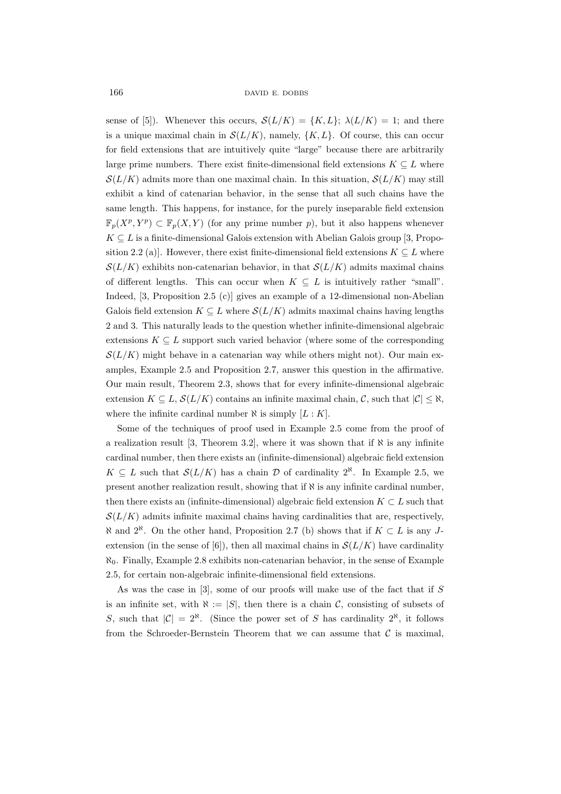sense of [5]). Whenever this occurs,  $\mathcal{S}(L/K) = \{K, L\}$ ;  $\lambda(L/K) = 1$ ; and there is a unique maximal chain in  $\mathcal{S}(L/K)$ , namely,  $\{K, L\}$ . Of course, this can occur for field extensions that are intuitively quite "large" because there are arbitrarily large prime numbers. There exist finite-dimensional field extensions  $K \subseteq L$  where  $S(L/K)$  admits more than one maximal chain. In this situation,  $S(L/K)$  may still exhibit a kind of catenarian behavior, in the sense that all such chains have the same length. This happens, for instance, for the purely inseparable field extension  $\mathbb{F}_p(X^p, Y^p) \subset \mathbb{F}_p(X, Y)$  (for any prime number *p*), but it also happens whenever  $K \subseteq L$  is a finite-dimensional Galois extension with Abelian Galois group [3, Proposition 2.2 (a)]. However, there exist finite-dimensional field extensions  $K \subseteq L$  where  $S(L/K)$  exhibits non-catenarian behavior, in that  $S(L/K)$  admits maximal chains of different lengths. This can occur when  $K \subseteq L$  is intuitively rather "small". Indeed, [3, Proposition 2.5 (c)] gives an example of a 12-dimensional non-Abelian Galois field extension  $K \subseteq L$  where  $\mathcal{S}(L/K)$  admits maximal chains having lengths 2 and 3. This naturally leads to the question whether infinite-dimensional algebraic extensions  $K \subseteq L$  support such varied behavior (where some of the corresponding  $S(L/K)$  might behave in a catenarian way while others might not). Our main examples, Example 2.5 and Proposition 2.7, answer this question in the affirmative. Our main result, Theorem 2.3, shows that for every infinite-dimensional algebraic extension  $K \subseteq L$ ,  $\mathcal{S}(L/K)$  contains an infinite maximal chain,  $\mathcal{C}$ , such that  $|\mathcal{C}| \leq \aleph$ , where the infinite cardinal number  $\aleph$  is simply  $[L:K]$ .

Some of the techniques of proof used in Example 2.5 come from the proof of a realization result [3, Theorem 3.2], where it was shown that if  $\aleph$  is any infinite cardinal number, then there exists an (infinite-dimensional) algebraic field extension *K* ⊆ *L* such that  $S(L/K)$  has a chain  $D$  of cardinality 2<sup>*N*</sup>. In Example 2.5, we present another realization result, showing that if *ℵ* is any infinite cardinal number, then there exists an (infinite-dimensional) algebraic field extension  $K \subset L$  such that  $S(L/K)$  admits infinite maximal chains having cardinalities that are, respectively, *ℵ* and 2*ℵ*. On the other hand, Proposition 2.7 (b) shows that if *K ⊂ L* is any *J*extension (in the sense of [6]), then all maximal chains in  $\mathcal{S}(L/K)$  have cardinality *ℵ*0. Finally, Example 2.8 exhibits non-catenarian behavior, in the sense of Example 2.5, for certain non-algebraic infinite-dimensional field extensions.

As was the case in [3], some of our proofs will make use of the fact that if *S* is an infinite set, with  $\aleph := |S|$ , then there is a chain *C*, consisting of subsets of *S*, such that  $|C| = 2^{\aleph}$ . (Since the power set of *S* has cardinality  $2^{\aleph}$ , it follows from the Schroeder-Bernstein Theorem that we can assume that  $C$  is maximal,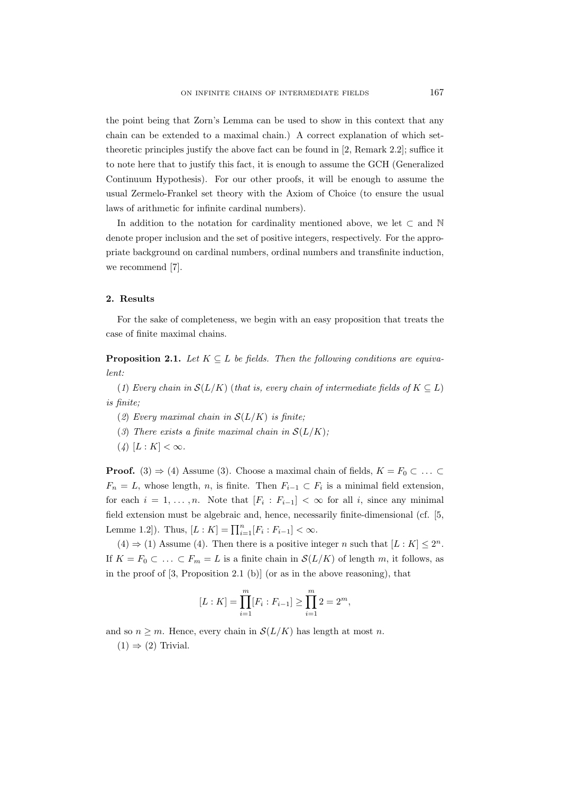the point being that Zorn's Lemma can be used to show in this context that any chain can be extended to a maximal chain.) A correct explanation of which settheoretic principles justify the above fact can be found in [2, Remark 2.2]; suffice it to note here that to justify this fact, it is enough to assume the GCH (Generalized Continuum Hypothesis). For our other proofs, it will be enough to assume the usual Zermelo-Frankel set theory with the Axiom of Choice (to ensure the usual laws of arithmetic for infinite cardinal numbers).

In addition to the notation for cardinality mentioned above, we let *⊂* and N denote proper inclusion and the set of positive integers, respectively. For the appropriate background on cardinal numbers, ordinal numbers and transfinite induction, we recommend [7].

## **2. Results**

For the sake of completeness, we begin with an easy proposition that treats the case of finite maximal chains.

**Proposition 2.1.** *Let*  $K \subseteq L$  *be fields. Then the following conditions are equivalent:*

(*1*) *Every chain in*  $S(L/K)$  (*that is, every chain of intermediate fields of*  $K \subseteq L$ ) *is finite;*

- (*2*) *Every maximal chain in S*(*L/K*) *is finite;*
- (*3*) *There exists a finite maximal chain in*  $S(L/K)$ ;
- $(4)$   $[L: K] < \infty$ .

**Proof.** (3)  $\Rightarrow$  (4) Assume (3). Choose a maximal chain of fields,  $K = F_0 \subset \dots \subset$  $F_n = L$ , whose length, *n*, is finite. Then  $F_{i-1} \subset F_i$  is a minimal field extension, for each  $i = 1, \ldots, n$ . Note that  $[F_i : F_{i-1}] < \infty$  for all *i*, since any minimal field extension must be algebraic and, hence, necessarily finite-dimensional (cf. [5, Lemme 1.2]). Thus,  $[L: K] = \prod_{i=1}^{n} [F_i : F_{i-1}] < \infty$ .

 $(4) \Rightarrow (1)$  Assume (4). Then there is a positive integer *n* such that  $[L: K] \leq 2^n$ . If *K* = *F*<sub>0</sub> ⊂  $\ldots$  ⊂ *F*<sub>*m*</sub> = *L* is a finite chain in *S*(*L/K*) of length *m*, it follows, as in the proof of  $[3,$  Proposition 2.1 (b)] (or as in the above reasoning), that

$$
[L:K] = \prod_{i=1}^{m} [F_i : F_{i-1}] \ge \prod_{i=1}^{m} 2 = 2^m,
$$

and so  $n \geq m$ . Hence, every chain in  $\mathcal{S}(L/K)$  has length at most *n*.

 $(1) \Rightarrow (2)$  Trivial.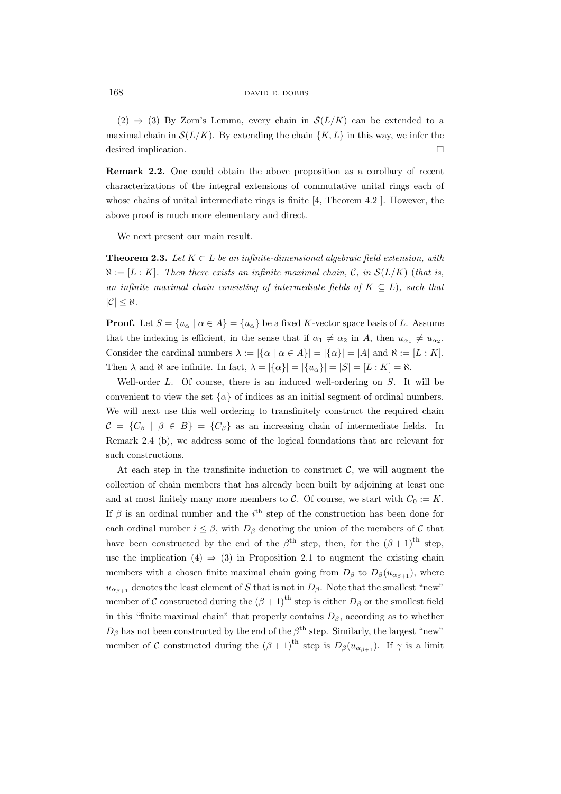(2)  $\Rightarrow$  (3) By Zorn's Lemma, every chain in  $\mathcal{S}(L/K)$  can be extended to a maximal chain in  $\mathcal{S}(L/K)$ . By extending the chain  $\{K, L\}$  in this way, we infer the desired implication.

**Remark 2.2.** One could obtain the above proposition as a corollary of recent characterizations of the integral extensions of commutative unital rings each of whose chains of unital intermediate rings is finite [4, Theorem 4.2 ]. However, the above proof is much more elementary and direct.

We next present our main result.

**Theorem 2.3.** *Let K ⊂ L be an infinite-dimensional algebraic field extension, with*  $\aleph := [L : K]$ *. Then there exists an infinite maximal chain, C, in*  $\mathcal{S}(L/K)$  (*that is, an infinite maximal chain consisting of intermediate fields of*  $K \subseteq L$ *), such that |C| ≤ ℵ.*

**Proof.** Let  $S = \{u_{\alpha} \mid \alpha \in A\} = \{u_{\alpha}\}\$  be a fixed *K*-vector space basis of *L*. Assume that the indexing is efficient, in the sense that if  $\alpha_1 \neq \alpha_2$  in *A*, then  $u_{\alpha_1} \neq u_{\alpha_2}$ . Consider the cardinal numbers  $\lambda := |\{\alpha \mid \alpha \in A\}| = |\{\alpha\}| = |A|$  and  $\aleph := [L : K]$ . Then  $\lambda$  and  $\aleph$  are infinite. In fact,  $\lambda = |\{\alpha\}| = |\{u_{\alpha}\}| = |S| = |L : K| = \aleph$ .

Well-order *L*. Of course, there is an induced well-ordering on *S*. It will be convenient to view the set  $\{\alpha\}$  of indices as an initial segment of ordinal numbers. We will next use this well ordering to transfinitely construct the required chain  $\mathcal{C} = \{C_\beta \mid \beta \in B\} = \{C_\beta\}$  as an increasing chain of intermediate fields. In Remark 2.4 (b), we address some of the logical foundations that are relevant for such constructions.

At each step in the transfinite induction to construct  $C$ , we will augment the collection of chain members that has already been built by adjoining at least one and at most finitely many more members to *C*. Of course, we start with  $C_0 := K$ . If  $\beta$  is an ordinal number and the *i*<sup>th</sup> step of the construction has been done for each ordinal number  $i \leq \beta$ , with  $D_{\beta}$  denoting the union of the members of  $\mathcal C$  that have been constructed by the end of the  $\beta^{\text{th}}$  step, then, for the  $(\beta + 1)^{\text{th}}$  step, use the implication  $(4) \Rightarrow (3)$  in Proposition 2.1 to augment the existing chain members with a chosen finite maximal chain going from  $D_\beta$  to  $D_\beta(u_{\alpha_{\beta+1}})$ , where  $u_{\alpha_{\beta+1}}$  denotes the least element of *S* that is not in  $D_{\beta}$ . Note that the smallest "new" member of *C* constructed during the  $(\beta + 1)$ <sup>th</sup> step is either  $D_\beta$  or the smallest field in this "finite maximal chain" that properly contains  $D_\beta$ , according as to whether  $D_{\beta}$  has not been constructed by the end of the  $\beta^{\text{th}}$  step. Similarly, the largest "new" member of *C* constructed during the  $(\beta + 1)^{th}$  step is  $D_{\beta}(u_{\alpha_{\beta+1}})$ . If  $\gamma$  is a limit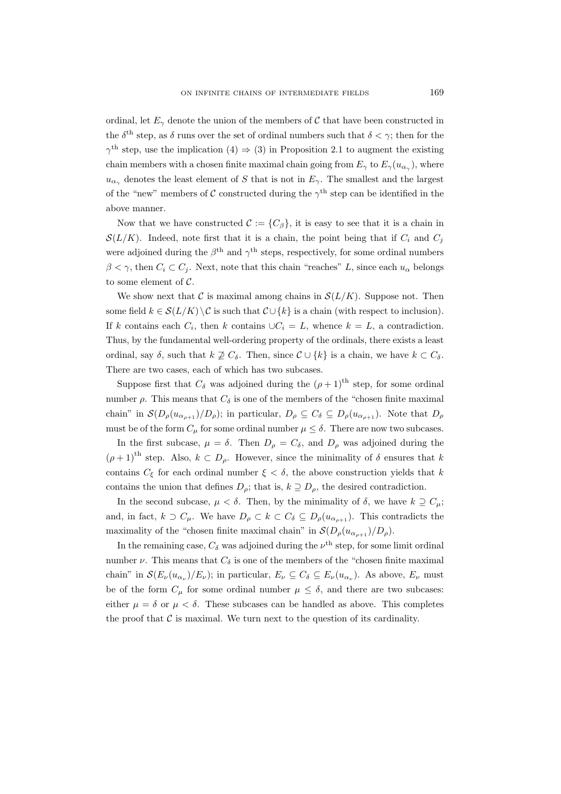ordinal, let  $E_\gamma$  denote the union of the members of C that have been constructed in the  $\delta^{\text{th}}$  step, as  $\delta$  runs over the set of ordinal numbers such that  $\delta < \gamma$ ; then for the  $\gamma^{\text{th}}$  step, use the implication (4)  $\Rightarrow$  (3) in Proposition 2.1 to augment the existing chain members with a chosen finite maximal chain going from  $E_{\gamma}$  to  $E_{\gamma}(u_{\alpha_{\gamma}})$ , where  $u_{\alpha\gamma}$  denotes the least element of *S* that is not in  $E_{\gamma}$ . The smallest and the largest of the "new" members of  $C$  constructed during the  $\gamma^{\text{th}}$  step can be identified in the above manner.

Now that we have constructed  $\mathcal{C} := \{C_\beta\}$ , it is easy to see that it is a chain in  $S(L/K)$ . Indeed, note first that it is a chain, the point being that if  $C_i$  and  $C_j$ were adjoined during the  $\beta^{\text{th}}$  and  $\gamma^{\text{th}}$  steps, respectively, for some ordinal numbers  $\beta < \gamma$ , then  $C_i \subset C_j$ . Next, note that this chain "reaches" *L*, since each  $u_\alpha$  belongs to some element of *C*.

We show next that  $\mathcal C$  is maximal among chains in  $\mathcal S(L/K)$ . Suppose not. Then some field  $k \in S(L/K) \setminus C$  is such that  $C \cup \{k\}$  is a chain (with respect to inclusion). If *k* contains each  $C_i$ , then *k* contains  $\bigcup C_i = L$ , whence  $k = L$ , a contradiction. Thus, by the fundamental well-ordering property of the ordinals, there exists a least ordinal, say  $\delta$ , such that  $k \not\supseteq C_{\delta}$ . Then, since  $\mathcal{C} \cup \{k\}$  is a chain, we have  $k \subset C_{\delta}$ . There are two cases, each of which has two subcases.

Suppose first that  $C_{\delta}$  was adjoined during the  $(\rho + 1)^{th}$  step, for some ordinal number *ρ*. This means that  $C_δ$  is one of the members of the "chosen finite maximal" chain" in  $\mathcal{S}(D_{\rho}(u_{\alpha_{\rho+1}})/D_{\rho})$ ; in particular,  $D_{\rho} \subseteq C_{\delta} \subseteq D_{\rho}(u_{\alpha_{\rho+1}})$ . Note that  $D_{\rho}$ must be of the form  $C_{\mu}$  for some ordinal number  $\mu \leq \delta$ . There are now two subcases.

In the first subcase,  $\mu = \delta$ . Then  $D_{\rho} = C_{\delta}$ , and  $D_{\rho}$  was adjoined during the  $(\rho + 1)$ <sup>th</sup> step. Also,  $k \subset D_\rho$ . However, since the minimality of  $\delta$  ensures that *k* contains  $C_{\xi}$  for each ordinal number  $\xi < \delta$ , the above construction yields that *k* contains the union that defines  $D_{\rho}$ ; that is,  $k \supseteq D_{\rho}$ , the desired contradiction.

In the second subcase,  $\mu < \delta$ . Then, by the minimality of  $\delta$ , we have  $k \supseteq C_{\mu}$ ; and, in fact,  $k \supset C_\mu$ . We have  $D_\rho \subset k \subset C_\delta \subseteq D_\rho(u_{\alpha_{\rho+1}})$ . This contradicts the maximality of the "chosen finite maximal chain" in  $\mathcal{S}(D_{\rho}(u_{\alpha_{o+1}})/D_{\rho})$ .

In the remaining case,  $C_{\delta}$  was adjoined during the  $\nu^{\text{th}}$  step, for some limit ordinal number  $\nu$ . This means that  $C_{\delta}$  is one of the members of the "chosen finite maximal" chain" in  $\mathcal{S}(E_{\nu}(u_{\alpha_{\nu}})/E_{\nu})$ ; in particular,  $E_{\nu} \subseteq C_{\delta} \subseteq E_{\nu}(u_{\alpha_{\nu}})$ . As above,  $E_{\nu}$  must be of the form  $C_{\mu}$  for some ordinal number  $\mu \leq \delta$ , and there are two subcases: either  $\mu = \delta$  or  $\mu < \delta$ . These subcases can be handled as above. This completes the proof that  $\mathcal C$  is maximal. We turn next to the question of its cardinality.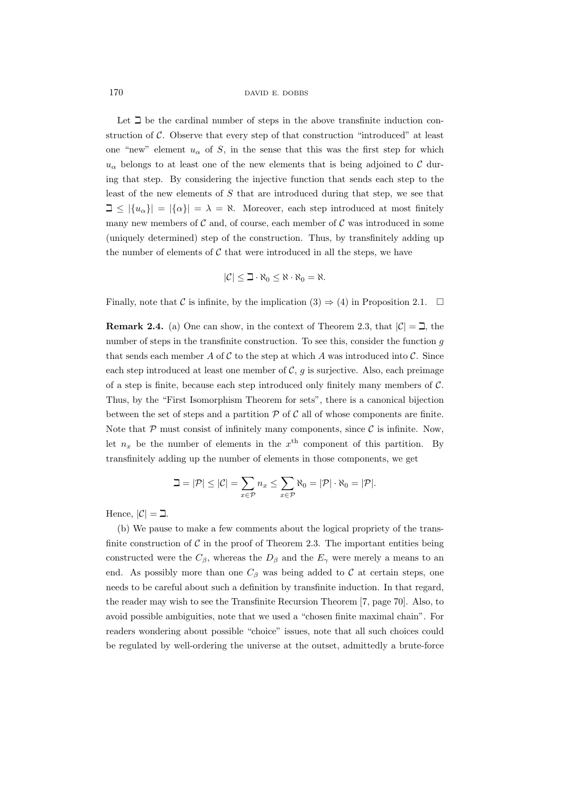170 DAVID E. DOBBS

Let  $\beth$  be the cardinal number of steps in the above transfinite induction construction of *C*. Observe that every step of that construction "introduced" at least one "new" element  $u_{\alpha}$  of *S*, in the sense that this was the first step for which  $u_{\alpha}$  belongs to at least one of the new elements that is being adjoined to  $C$  during that step. By considering the injective function that sends each step to the least of the new elements of *S* that are introduced during that step, we see that  $\exists \leq |\{u_{\alpha}\}| = |\{\alpha\}| = \lambda = \aleph$ . Moreover, each step introduced at most finitely many new members of  $C$  and, of course, each member of  $C$  was introduced in some (uniquely determined) step of the construction. Thus, by transfinitely adding up the number of elements of  $C$  that were introduced in all the steps, we have

$$
|\mathcal{C}| \leq \beth \cdot \aleph_0 \leq \aleph \cdot \aleph_0 = \aleph.
$$

Finally, note that *C* is infinite, by the implication  $(3) \Rightarrow (4)$  in Proposition 2.1.  $\Box$ 

**Remark 2.4.** (a) One can show, in the context of Theorem 2.3, that  $|\mathcal{C}| = \mathcal{I}$ , the number of steps in the transfinite construction. To see this, consider the function *g* that sends each member  $A$  of  $C$  to the step at which  $A$  was introduced into  $C$ . Since each step introduced at least one member of  $C$ ,  $g$  is surjective. Also, each preimage of a step is finite, because each step introduced only finitely many members of *C*. Thus, by the "First Isomorphism Theorem for sets", there is a canonical bijection between the set of steps and a partition  $P$  of  $C$  all of whose components are finite. Note that  $P$  must consist of infinitely many components, since  $C$  is infinite. Now, let  $n_x$  be the number of elements in the  $x<sup>th</sup>$  component of this partition. By transfinitely adding up the number of elements in those components, we get

$$
\mathbb{L} = |\mathcal{P}| \leq |\mathcal{C}| = \sum_{x \in \mathcal{P}} n_x \leq \sum_{x \in \mathcal{P}} \aleph_0 = |\mathcal{P}| \cdot \aleph_0 = |\mathcal{P}|.
$$

Hence,  $|\mathcal{C}| = \Box$ .

(b) We pause to make a few comments about the logical propriety of the transfinite construction of  $\mathcal C$  in the proof of Theorem 2.3. The important entities being constructed were the  $C_{\beta}$ , whereas the  $D_{\beta}$  and the  $E_{\gamma}$  were merely a means to an end. As possibly more than one  $C_\beta$  was being added to  $\mathcal C$  at certain steps, one needs to be careful about such a definition by transfinite induction. In that regard, the reader may wish to see the Transfinite Recursion Theorem [7, page 70]. Also, to avoid possible ambiguities, note that we used a "chosen finite maximal chain". For readers wondering about possible "choice" issues, note that all such choices could be regulated by well-ordering the universe at the outset, admittedly a brute-force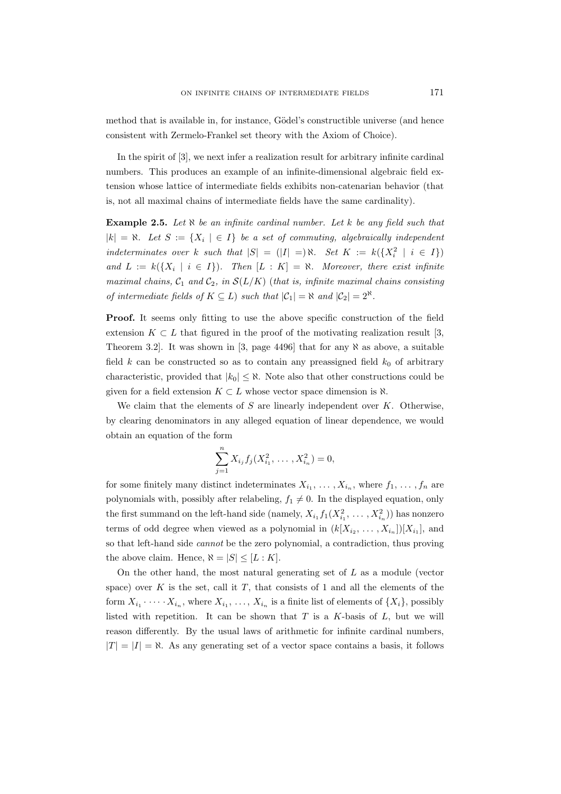method that is available in, for instance, Gödel's constructible universe (and hence consistent with Zermelo-Frankel set theory with the Axiom of Choice).

In the spirit of [3], we next infer a realization result for arbitrary infinite cardinal numbers. This produces an example of an infinite-dimensional algebraic field extension whose lattice of intermediate fields exhibits non-catenarian behavior (that is, not all maximal chains of intermediate fields have the same cardinality).

**Example 2.5.** *Let ℵ be an infinite cardinal number. Let k be any field such that*  $|k| = \aleph$ . Let  $S := \{X_i \mid \in I\}$  be a set of commuting, algebraically independent  $\int$  *indeterminates over k such that*  $|S| = (|I| =) \aleph$ *. Set*  $K := k({X_i^2 \mid i \in I})$ *and*  $L := k({X_i \mid i \in I})$ *. Then*  $[L : K] = \aleph$ *. Moreover, there exist infinite maximal chains,*  $C_1$  *and*  $C_2$ *, in*  $S(L/K)$  (*that is, infinite maximal chains consisting of intermediate fields of*  $K \subseteq L$ ) *such that*  $|\mathcal{C}_1| = \aleph$  *and*  $|\mathcal{C}_2| = 2^{\aleph}$ *.* 

**Proof.** It seems only fitting to use the above specific construction of the field extension  $K \subset L$  that figured in the proof of the motivating realization result [3, Theorem 3.2]. It was shown in [3, page 4496] that for any *ℵ* as above, a suitable field  $k$  can be constructed so as to contain any preassigned field  $k_0$  of arbitrary characteristic, provided that  $|k_0| \leq \aleph$ . Note also that other constructions could be given for a field extension  $K \subset L$  whose vector space dimension is  $\aleph$ .

We claim that the elements of *S* are linearly independent over *K*. Otherwise, by clearing denominators in any alleged equation of linear dependence, we would obtain an equation of the form

$$
\sum_{j=1}^{n} X_{i_j} f_j(X_{i_1}^2, \ldots, X_{i_n}^2) = 0,
$$

for some finitely many distinct indeterminates  $X_{i_1}, \ldots, X_{i_n}$ , where  $f_1, \ldots, f_n$  are polynomials with, possibly after relabeling,  $f_1 \neq 0$ . In the displayed equation, only the first summand on the left-hand side (namely,  $X_{i_1} f_1(X_{i_1}^2, \ldots, X_{i_n}^2)$ ) has nonzero terms of odd degree when viewed as a polynomial in  $(k[X_{i_2}, \ldots, X_{i_n}])[X_{i_1}],$  and so that left-hand side *cannot* be the zero polynomial, a contradiction, thus proving the above claim. Hence,  $\aleph = |S| \leq [L:K]$ .

On the other hand, the most natural generating set of *L* as a module (vector space) over  $K$  is the set, call it  $T$ , that consists of 1 and all the elements of the form  $X_{i_1} \cdot \cdot \cdot \cdot \cdot X_{i_n}$ , where  $X_{i_1} \cdot \cdot \cdot \cdot$ ,  $X_{i_n}$  is a finite list of elements of  $\{X_i\}$ , possibly listed with repetition. It can be shown that *T* is a *K*-basis of *L*, but we will reason differently. By the usual laws of arithmetic for infinite cardinal numbers,  $|T| = |I| = \aleph$ . As any generating set of a vector space contains a basis, it follows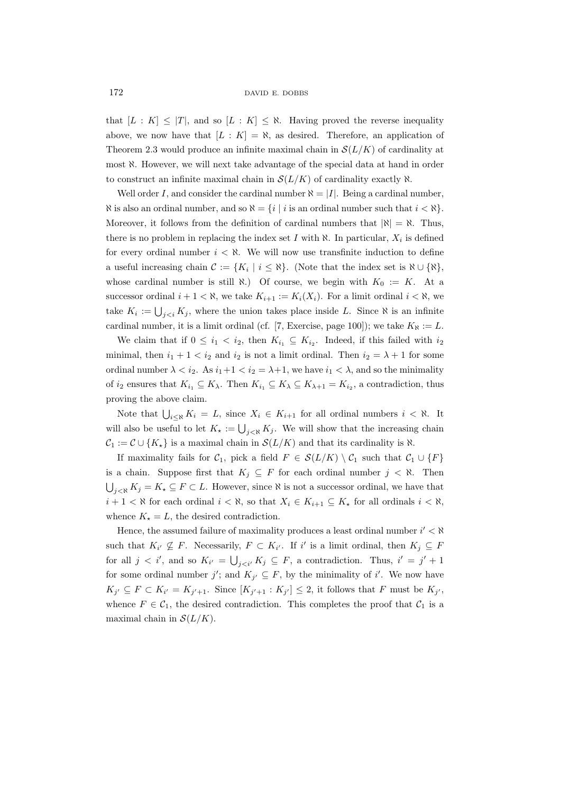that  $[L : K] \leq |T|$ , and so  $[L : K] \leq \aleph$ . Having proved the reverse inequality above, we now have that  $[L : K] = \aleph$ , as desired. Therefore, an application of Theorem 2.3 would produce an infinite maximal chain in  $\mathcal{S}(L/K)$  of cardinality at most *ℵ*. However, we will next take advantage of the special data at hand in order to construct an infinite maximal chain in  $\mathcal{S}(L/K)$  of cardinality exactly  $\aleph$ .

Well order *I*, and consider the cardinal number  $\aleph = |I|$ . Being a cardinal number, *N* is also an ordinal number, and so  $\aleph = \{i \mid i \text{ is an ordinal number such that } i < \aleph\}$ . Moreover, it follows from the definition of cardinal numbers that  $|\aleph| = \aleph$ . Thus, there is no problem in replacing the index set  $I$  with  $\aleph$ . In particular,  $X_i$  is defined for every ordinal number  $i < \aleph$ . We will now use transfinite induction to define a useful increasing chain  $C := \{K_i \mid i \leq \aleph\}$ . (Note that the index set is  $\aleph \cup \{\aleph\}$ , whose cardinal number is still  $\aleph$ .) Of course, we begin with  $K_0 := K$ . At a successor ordinal  $i + 1 < \aleph$ , we take  $K_{i+1} := K_i(X_i)$ . For a limit ordinal  $i < \aleph$ , we take  $K_i := \bigcup_{j < i} K_j$ , where the union takes place inside *L*. Since  $\aleph$  is an infinite cardinal number, it is a limit ordinal (cf. [7, Exercise, page 100]); we take  $K_{\aleph} := L$ .

We claim that if  $0 \leq i_1 < i_2$ , then  $K_{i_1} \subseteq K_{i_2}$ . Indeed, if this failed with  $i_2$ minimal, then  $i_1 + 1 < i_2$  and  $i_2$  is not a limit ordinal. Then  $i_2 = \lambda + 1$  for some ordinal number  $\lambda < i_2$ . As  $i_1 + 1 < i_2 = \lambda + 1$ , we have  $i_1 < \lambda$ , and so the minimality of *i*<sub>2</sub> ensures that  $K_{i_1} \subseteq K_{\lambda}$ . Then  $K_{i_1} \subseteq K_{\lambda} \subseteq K_{\lambda+1} = K_{i_2}$ , a contradiction, thus proving the above claim.

Note that  $\bigcup_{i \leq \aleph} K_i = L$ , since  $X_i \in K_{i+1}$  for all ordinal numbers  $i < \aleph$ . It will also be useful to let  $K_{\star} := \bigcup_{j \leq \aleph} K_j$ . We will show that the increasing chain  $C_1 := C \cup \{K_\star\}$  is a maximal chain in  $\mathcal{S}(L/K)$  and that its cardinality is  $\aleph$ .

If maximality fails for  $C_1$ , pick a field  $F \in \mathcal{S}(L/K) \setminus C_1$  such that  $C_1 \cup \{F\}$ is a chain. Suppose first that  $K_j \subseteq F$  for each ordinal number  $j \lt \aleph$ . Then  $\bigcup_{j \leq \aleph} K_j = K_{\kappa} \subseteq F \subset L$ . However, since  $\aleph$  is not a successor ordinal, we have that *i* + 1 <  $\aleph$  for each ordinal *i* <  $\aleph$ , so that *X<sub>i</sub>* ∈ *K<sub>i+1</sub>* ⊆ *K<sub>i</sub>* for all ordinals *i* <  $\aleph$ , whence  $K_{\star} = L$ , the desired contradiction.

Hence, the assumed failure of maximality produces a least ordinal number *i ′ < ℵ* such that  $K_{i'} \nsubseteq F$ . Necessarily,  $F \subset K_{i'}$ . If *i'* is a limit ordinal, then  $K_j \subseteq F$ for all  $j < i'$ , and so  $K_{i'} = \bigcup_{j < i'} K_j \subseteq F$ , a contradiction. Thus,  $i' = j' + 1$ for some ordinal number *j'*; and  $K_{j'} \subseteq F$ , by the minimality of *i'*. We now have  $K_{j'} \subseteq F \subset K_{i'} = K_{j'+1}$ . Since  $[K_{j'+1} : K_{j'}] \leq 2$ , it follows that F must be  $K_{j'}$ , whence  $F \in C_1$ , the desired contradiction. This completes the proof that  $C_1$  is a maximal chain in  $\mathcal{S}(L/K)$ .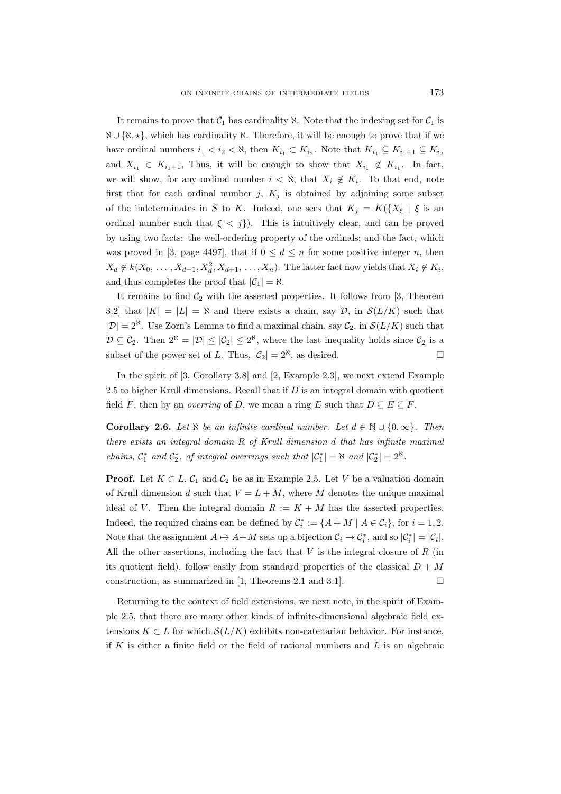It remains to prove that  $C_1$  has cardinality  $\aleph$ . Note that the indexing set for  $C_1$  is *ℵ ∪ {ℵ, ⋆}*, which has cardinality *ℵ*. Therefore, it will be enough to prove that if we have ordinal numbers  $i_1 < i_2 < \aleph$ , then  $K_{i_1} \subset K_{i_2}$ . Note that  $K_{i_1} \subseteq K_{i_1+1} \subseteq K_{i_2}$ and  $X_{i_1} \in K_{i_1+1}$ , Thus, it will be enough to show that  $X_{i_1} \notin K_{i_1}$ . In fact, we will show, for any ordinal number  $i < \aleph$ , that  $X_i \notin K_i$ . To that end, note first that for each ordinal number  $j$ ,  $K_j$  is obtained by adjoining some subset of the indeterminates in *S* to *K*. Indeed, one sees that  $K_j = K({X_{\xi}} | \xi$  is an ordinal number such that  $\xi < j$ }. This is intuitively clear, and can be proved by using two facts: the well-ordering property of the ordinals; and the fact, which was proved in [3, page 4497], that if  $0 \leq d \leq n$  for some positive integer *n*, then  $X_d \notin k(X_0, \ldots, X_{d-1}, X_d^2, X_{d+1}, \ldots, X_n)$ . The latter fact now yields that  $X_i \notin K_i$ , and thus completes the proof that  $|\mathcal{C}_1| = \aleph$ .

It remains to find  $C_2$  with the asserted properties. It follows from [3, Theorem 3.2] that  $|K| = |L| = \aleph$  and there exists a chain, say *D*, in  $\mathcal{S}(L/K)$  such that  $|\mathcal{D}| = 2^{\aleph}$ . Use Zorn's Lemma to find a maximal chain, say  $\mathcal{C}_2$ , in  $\mathcal{S}(L/K)$  such that  $\mathcal{D} \subseteq \mathcal{C}_2$ . Then  $2^{\aleph} = |\mathcal{D}| \leq |\mathcal{C}_2| \leq 2^{\aleph}$ , where the last inequality holds since  $\mathcal{C}_2$  is a subset of the power set of *L*. Thus,  $|\mathcal{C}_2| = 2^{\aleph}$ , as desired.

In the spirit of [3, Corollary 3.8] and [2, Example 2.3], we next extend Example 2.5 to higher Krull dimensions. Recall that if *D* is an integral domain with quotient field *F*, then by an *overring* of *D*, we mean a ring *E* such that  $D \subseteq E \subseteq F$ .

**Corollary 2.6.** *Let*  $\aleph$  *be an infinite cardinal number. Let*  $d \in \mathbb{N} \cup \{0, \infty\}$ *. Then there exists an integral domain R of Krull dimension d that has infinite maximal chains,*  $C_1^*$  *and*  $C_2^*$ *, of integral overrings such that*  $|C_1^*| = \aleph$  *and*  $|C_2^*| = 2^{\aleph}$ *.* 

**Proof.** Let  $K \subset L$ ,  $C_1$  and  $C_2$  be as in Example 2.5. Let *V* be a valuation domain of Krull dimension *d* such that  $V = L + M$ , where *M* denotes the unique maximal ideal of *V*. Then the integral domain  $R := K + M$  has the asserted properties. Indeed, the required chains can be defined by  $\mathcal{C}_i^* := \{A + M \mid A \in \mathcal{C}_i\}$ , for  $i = 1, 2$ . Note that the assignment  $A \mapsto A + M$  sets up a bijection  $C_i \to C_i^*$ , and so  $|C_i^*| = |C_i|$ . All the other assertions, including the fact that *V* is the integral closure of *R* (in its quotient field), follow easily from standard properties of the classical  $D + M$ construction, as summarized in [1, Theorems 2.1 and 3.1].  $\Box$ 

Returning to the context of field extensions, we next note, in the spirit of Example 2.5, that there are many other kinds of infinite-dimensional algebraic field extensions  $K \subset L$  for which  $\mathcal{S}(L/K)$  exhibits non-catenarian behavior. For instance, if *K* is either a finite field or the field of rational numbers and *L* is an algebraic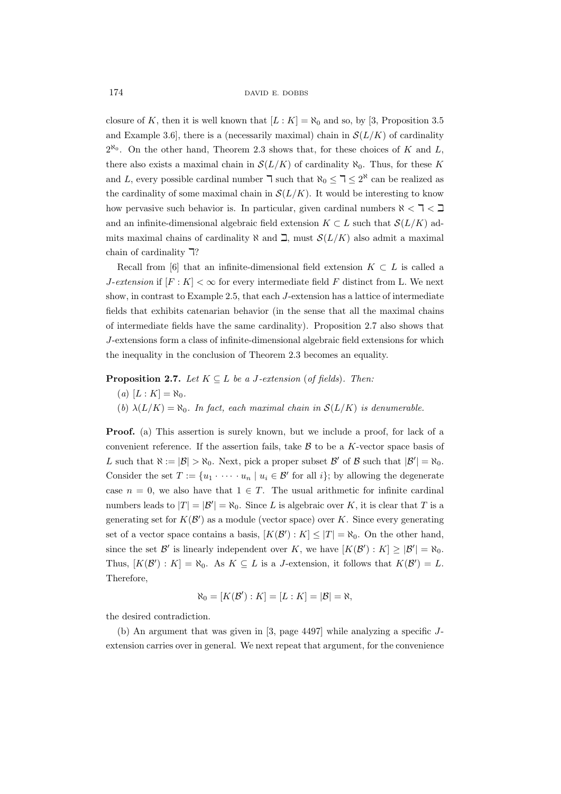closure of *K*, then it is well known that  $[L: K] = \aleph_0$  and so, by [3, Proposition 3.5 and Example 3.6, there is a (necessarily maximal) chain in  $\mathcal{S}(L/K)$  of cardinality 2 *ℵ*0 . On the other hand, Theorem 2.3 shows that, for these choices of *K* and *L*, there also exists a maximal chain in  $\mathcal{S}(L/K)$  of cardinality  $\aleph_0$ . Thus, for these K and *L*, every possible cardinal number  $\exists$  such that  $\aleph_0 \leq \exists \leq 2^{\aleph}$  can be realized as the cardinality of some maximal chain in  $\mathcal{S}(L/K)$ . It would be interesting to know how pervasive such behavior is. In particular, given cardinal numbers  $\aleph < \exists < \exists$ and an infinite-dimensional algebraic field extension  $K \subset L$  such that  $\mathcal{S}(L/K)$  admits maximal chains of cardinality  $\aleph$  and  $\beth$ , must  $\mathcal{S}(L/K)$  also admit a maximal chain of cardinality  $\mathbb{R}$ ?

Recall from [6] that an infinite-dimensional field extension  $K \subset L$  is called a *J*-*extension* if  $[F: K] < \infty$  for every intermediate field F distinct from L. We next show, in contrast to Example 2.5, that each *J*-extension has a lattice of intermediate fields that exhibits catenarian behavior (in the sense that all the maximal chains of intermediate fields have the same cardinality). Proposition 2.7 also shows that *J*-extensions form a class of infinite-dimensional algebraic field extensions for which the inequality in the conclusion of Theorem 2.3 becomes an equality.

**Proposition 2.7.** *Let*  $K \subseteq L$  *be a J-extension* (*of fields*)*. Then:* 

- $(a) [L : K] = \aleph_0.$
- (*b*)  $\lambda(L/K) = \aleph_0$ . In fact, each maximal chain in  $\mathcal{S}(L/K)$  is denumerable.

**Proof.** (a) This assertion is surely known, but we include a proof, for lack of a convenient reference. If the assertion fails, take *B* to be a *K*-vector space basis of *L* such that  $\aleph := |\mathcal{B}| > \aleph_0$ . Next, pick a proper subset  $\mathcal{B}'$  of  $\mathcal{B}$  such that  $|\mathcal{B}'| = \aleph_0$ . Consider the set  $T := \{u_1 \cdot \cdots \cdot u_n \mid u_i \in \mathcal{B}' \text{ for all } i\}$ ; by allowing the degenerate case  $n = 0$ , we also have that  $1 \in T$ . The usual arithmetic for infinite cardinal numbers leads to  $|T| = |\mathcal{B}'| = \aleph_0$ . Since *L* is algebraic over *K*, it is clear that *T* is a generating set for  $K(\mathcal{B}')$  as a module (vector space) over *K*. Since every generating set of a vector space contains a basis,  $[K(\mathcal{B}') : K] \leq |T| = \aleph_0$ . On the other hand, since the set  $\mathcal{B}'$  is linearly independent over *K*, we have  $[K(\mathcal{B}') : K] \geq |\mathcal{B}'| = \aleph_0$ . Thus,  $[K(\mathcal{B}') : K] = \aleph_0$ . As  $K \subseteq L$  is a *J*-extension, it follows that  $K(\mathcal{B}') = L$ . Therefore,

$$
\aleph_0 = [K(\mathcal{B}') : K] = [L : K] = |\mathcal{B}| = \aleph,
$$

the desired contradiction.

(b) An argument that was given in [3, page 4497] while analyzing a specific *J*extension carries over in general. We next repeat that argument, for the convenience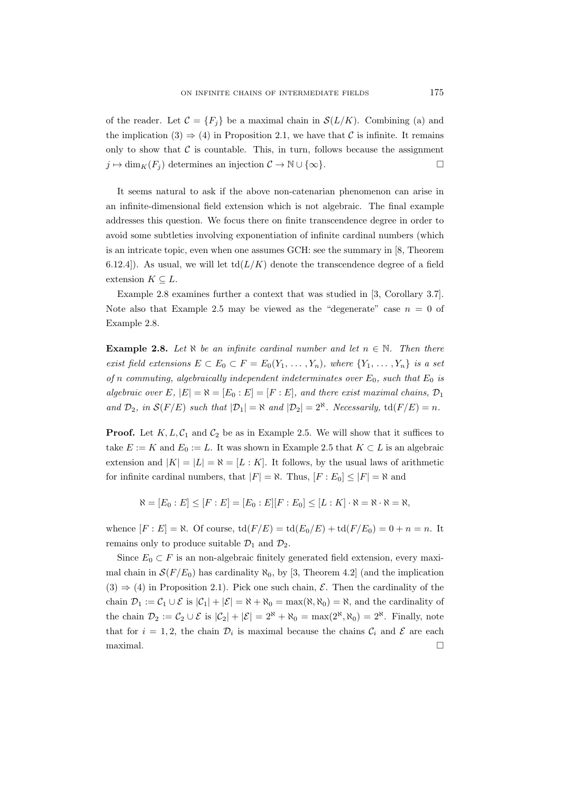of the reader. Let  $\mathcal{C} = \{F_i\}$  be a maximal chain in  $\mathcal{S}(L/K)$ . Combining (a) and the implication  $(3) \Rightarrow (4)$  in Proposition 2.1, we have that *C* is infinite. It remains only to show that  $C$  is countable. This, in turn, follows because the assignment  $j \mapsto \dim_K(F_j)$  determines an injection  $\mathcal{C} \to \mathbb{N} \cup \{\infty\}.$ 

It seems natural to ask if the above non-catenarian phenomenon can arise in an infinite-dimensional field extension which is not algebraic. The final example addresses this question. We focus there on finite transcendence degree in order to avoid some subtleties involving exponentiation of infinite cardinal numbers (which is an intricate topic, even when one assumes GCH: see the summary in [8, Theorem 6.12.4]). As usual, we will let  $td(L/K)$  denote the transcendence degree of a field extension  $K \subseteq L$ .

Example 2.8 examines further a context that was studied in [3, Corollary 3.7]. Note also that Example 2.5 may be viewed as the "degenerate" case  $n = 0$  of Example 2.8.

**Example 2.8.** Let  $\aleph$  *be an infinite cardinal number and let*  $n \in \mathbb{N}$ *. Then there exist field extensions*  $E \subset E_0 \subset F = E_0(Y_1, \ldots, Y_n)$ *, where*  $\{Y_1, \ldots, Y_n\}$  *is a set of n commuting, algebraically independent indeterminates over*  $E_0$ *, such that*  $E_0$  *is algebraic over*  $E$ *,*  $|E| = \aleph = [E_0 : E] = [F : E]$ *, and there exist maximal chains,*  $\mathcal{D}_1$ *and*  $\mathcal{D}_2$ *, in*  $\mathcal{S}(F/E)$  *such that*  $|\mathcal{D}_1| = \aleph$  *and*  $|\mathcal{D}_2| = 2^{\aleph}$ *. Necessarily,* td( $F/E$ ) = *n.* 

**Proof.** Let  $K, L, C_1$  and  $C_2$  be as in Example 2.5. We will show that it suffices to take  $E := K$  and  $E_0 := L$ . It was shown in Example 2.5 that  $K \subset L$  is an algebraic extension and  $|K| = |L| = \aleph = [L : K]$ . It follows, by the usual laws of arithmetic for infinite cardinal numbers, that  $|F| = \aleph$ . Thus,  $|F : E_0| \leq |F| = \aleph$  and

 $\aleph = [E_0 : E] \le [F : E] = [E_0 : E][F : E_0] \le [L : K] \cdot \aleph = \aleph \cdot \aleph = \aleph,$ 

whence  $[F : E] = \aleph$ . Of course,  $\text{td}(F/E) = \text{td}(E_0/E) + \text{td}(F/E_0) = 0 + n = n$ . It remains only to produce suitable  $\mathcal{D}_1$  and  $\mathcal{D}_2$ .

Since  $E_0 \subset F$  is an non-algebraic finitely generated field extension, every maximal chain in  $S(F/E_0)$  has cardinality  $\aleph_0$ , by [3, Theorem 4.2] (and the implication  $(3) \Rightarrow (4)$  in Proposition 2.1). Pick one such chain, *E*. Then the cardinality of the chain  $\mathcal{D}_1 := \mathcal{C}_1 \cup \mathcal{E}$  is  $|\mathcal{C}_1| + |\mathcal{E}| = \aleph + \aleph_0 = \max(\aleph, \aleph_0) = \aleph$ , and the cardinality of the chain  $\mathcal{D}_2 := \mathcal{C}_2 \cup \mathcal{E}$  is  $|\mathcal{C}_2| + |\mathcal{E}| = 2^{\aleph} + \aleph_0 = \max(2^{\aleph}, \aleph_0) = 2^{\aleph}$ . Finally, note that for  $i = 1, 2$ , the chain  $\mathcal{D}_i$  is maximal because the chains  $\mathcal{C}_i$  and  $\mathcal{E}$  are each maximal.  $\Box$